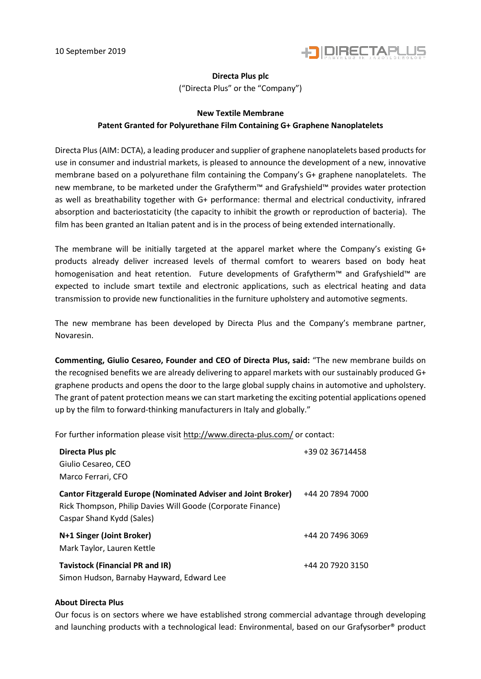

## **Directa Plus plc**

("Directa Plus" or the "Company")

## **New Textile Membrane**

## **Patent Granted for Polyurethane Film Containing G+ Graphene Nanoplatelets**

Directa Plus (AIM: DCTA), a leading producer and supplier of graphene nanoplatelets based products for use in consumer and industrial markets, is pleased to announce the development of a new, innovative membrane based on a polyurethane film containing the Company's G+ graphene nanoplatelets. The new membrane, to be marketed under the Grafytherm™ and Grafyshield™ provides water protection as well as breathability together with G+ performance: thermal and electrical conductivity, infrared absorption and bacteriostaticity (the capacity to inhibit the growth or reproduction of bacteria). The film has been granted an Italian patent and is in the process of being extended internationally.

The membrane will be initially targeted at the apparel market where the Company's existing G+ products already deliver increased levels of thermal comfort to wearers based on body heat homogenisation and heat retention. Future developments of Grafytherm™ and Grafyshield™ are expected to include smart textile and electronic applications, such as electrical heating and data transmission to provide new functionalities in the furniture upholstery and automotive segments.

The new membrane has been developed by Directa Plus and the Company's membrane partner, Novaresin.

**Commenting, Giulio Cesareo, Founder and CEO of Directa Plus, said:** "The new membrane builds on the recognised benefits we are already delivering to apparel markets with our sustainably produced G+ graphene products and opens the door to the large global supply chains in automotive and upholstery. The grant of patent protection means we can start marketing the exciting potential applications opened up by the film to forward-thinking manufacturers in Italy and globally."

For further information please visit<http://www.directa-plus.com/> or contact:

| Directa Plus plc<br>Giulio Cesareo, CEO<br>Marco Ferrari, CFO                                                                                                    | +39 02 36714458  |
|------------------------------------------------------------------------------------------------------------------------------------------------------------------|------------------|
| <b>Cantor Fitzgerald Europe (Nominated Adviser and Joint Broker)</b><br>Rick Thompson, Philip Davies Will Goode (Corporate Finance)<br>Caspar Shand Kydd (Sales) | +44 20 7894 7000 |
| N+1 Singer (Joint Broker)<br>Mark Taylor, Lauren Kettle                                                                                                          | +44 20 7496 3069 |
| <b>Tavistock (Financial PR and IR)</b><br>Simon Hudson, Barnaby Hayward, Edward Lee                                                                              | +44 20 7920 3150 |

## **About Directa Plus**

Our focus is on sectors where we have established strong commercial advantage through developing and launching products with a technological lead: Environmental, based on our Grafysorber® product